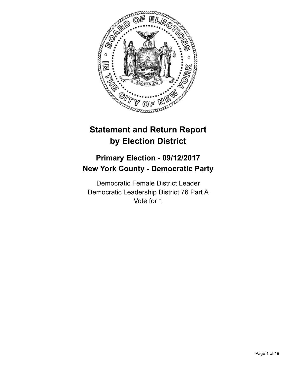

# **Statement and Return Report by Election District**

## **Primary Election - 09/12/2017 New York County - Democratic Party**

Democratic Female District Leader Democratic Leadership District 76 Part A Vote for 1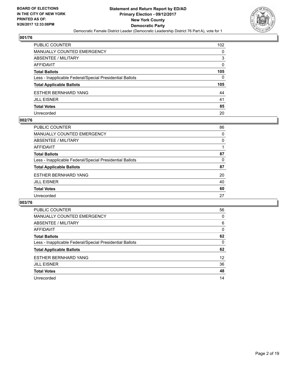

| <b>PUBLIC COUNTER</b>                                    | 102          |
|----------------------------------------------------------|--------------|
| <b>MANUALLY COUNTED EMERGENCY</b>                        | 0            |
| ABSENTEE / MILITARY                                      | 3            |
| <b>AFFIDAVIT</b>                                         | 0            |
| <b>Total Ballots</b>                                     | 105          |
| Less - Inapplicable Federal/Special Presidential Ballots | $\mathbf{0}$ |
| <b>Total Applicable Ballots</b>                          | 105          |
| <b>ESTHER BERNHARD YANG</b>                              | 44           |
| <b>JILL EISNER</b>                                       | 41           |
| <b>Total Votes</b>                                       | 85           |
| Unrecorded                                               | 20           |

#### **002/76**

| 86 |
|----|
| 0  |
| 0  |
|    |
| 87 |
| 0  |
| 87 |
| 20 |
| 40 |
| 60 |
| 27 |
|    |

| <b>PUBLIC COUNTER</b>                                    | 56 |
|----------------------------------------------------------|----|
| <b>MANUALLY COUNTED EMERGENCY</b>                        | 0  |
| ABSENTEE / MILITARY                                      | 6  |
| <b>AFFIDAVIT</b>                                         | 0  |
| <b>Total Ballots</b>                                     | 62 |
| Less - Inapplicable Federal/Special Presidential Ballots | 0  |
| <b>Total Applicable Ballots</b>                          | 62 |
| <b>ESTHER BERNHARD YANG</b>                              | 12 |
| <b>JILL EISNER</b>                                       | 36 |
| <b>Total Votes</b>                                       | 48 |
| Unrecorded                                               | 14 |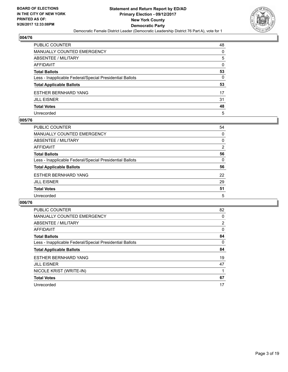

| PUBLIC COUNTER                                           | 48 |
|----------------------------------------------------------|----|
| MANUALLY COUNTED EMERGENCY                               | 0  |
| ABSENTEE / MILITARY                                      | 5  |
| AFFIDAVIT                                                | 0  |
| Total Ballots                                            | 53 |
| Less - Inapplicable Federal/Special Presidential Ballots | 0  |
| <b>Total Applicable Ballots</b>                          | 53 |
| ESTHER BERNHARD YANG                                     | 17 |
| JILL EISNER                                              | 31 |
| <b>Total Votes</b>                                       | 48 |
| Unrecorded                                               | 5  |

#### **005/76**

| <b>PUBLIC COUNTER</b>                                    | 54 |
|----------------------------------------------------------|----|
| <b>MANUALLY COUNTED EMERGENCY</b>                        | 0  |
| ABSENTEE / MILITARY                                      | 0  |
| AFFIDAVIT                                                | 2  |
| <b>Total Ballots</b>                                     | 56 |
| Less - Inapplicable Federal/Special Presidential Ballots | 0  |
| <b>Total Applicable Ballots</b>                          | 56 |
| <b>ESTHER BERNHARD YANG</b>                              | 22 |
| <b>JILL EISNER</b>                                       | 29 |
| <b>Total Votes</b>                                       | 51 |
| Unrecorded                                               | 5  |

| <b>PUBLIC COUNTER</b>                                    | 82             |
|----------------------------------------------------------|----------------|
| MANUALLY COUNTED EMERGENCY                               | 0              |
| ABSENTEE / MILITARY                                      | $\overline{2}$ |
| AFFIDAVIT                                                | 0              |
| <b>Total Ballots</b>                                     | 84             |
| Less - Inapplicable Federal/Special Presidential Ballots | 0              |
| <b>Total Applicable Ballots</b>                          | 84             |
| <b>ESTHER BERNHARD YANG</b>                              | 19             |
| <b>JILL EISNER</b>                                       | 47             |
| NICOLE KRIST (WRITE-IN)                                  |                |
| <b>Total Votes</b>                                       | 67             |
| Unrecorded                                               | 17             |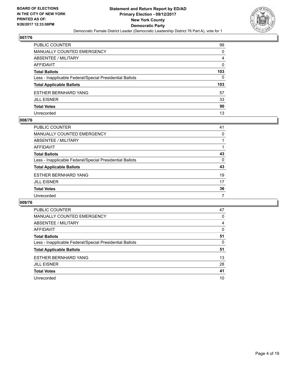

| PUBLIC COUNTER                                           | 99  |
|----------------------------------------------------------|-----|
| <b>MANUALLY COUNTED EMERGENCY</b>                        | 0   |
| ABSENTEE / MILITARY                                      | 4   |
| AFFIDAVIT                                                | 0   |
| <b>Total Ballots</b>                                     | 103 |
| Less - Inapplicable Federal/Special Presidential Ballots | 0   |
| <b>Total Applicable Ballots</b>                          | 103 |
| <b>ESTHER BERNHARD YANG</b>                              | 57  |
| <b>JILL EISNER</b>                                       | 33  |
| <b>Total Votes</b>                                       | 90  |
| Unrecorded                                               | 13  |

#### **008/76**

| PUBLIC COUNTER                                           | 41 |
|----------------------------------------------------------|----|
| <b>MANUALLY COUNTED EMERGENCY</b>                        | 0  |
| ABSENTEE / MILITARY                                      |    |
| AFFIDAVIT                                                |    |
| <b>Total Ballots</b>                                     | 43 |
| Less - Inapplicable Federal/Special Presidential Ballots | 0  |
| <b>Total Applicable Ballots</b>                          | 43 |
| <b>ESTHER BERNHARD YANG</b>                              | 19 |
| <b>JILL EISNER</b>                                       | 17 |
| <b>Total Votes</b>                                       | 36 |
| Unrecorded                                               | 7  |

| <b>PUBLIC COUNTER</b>                                    | 47 |
|----------------------------------------------------------|----|
| MANUALLY COUNTED EMERGENCY                               | 0  |
| ABSENTEE / MILITARY                                      | 4  |
| AFFIDAVIT                                                | 0  |
| <b>Total Ballots</b>                                     | 51 |
| Less - Inapplicable Federal/Special Presidential Ballots | 0  |
| <b>Total Applicable Ballots</b>                          | 51 |
| <b>ESTHER BERNHARD YANG</b>                              | 13 |
| <b>JILL EISNER</b>                                       | 28 |
| <b>Total Votes</b>                                       | 41 |
| Unrecorded                                               | 10 |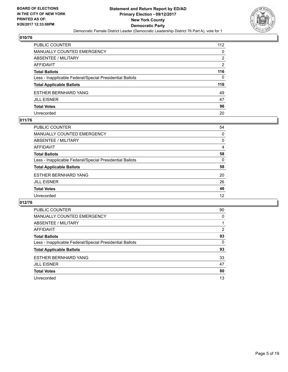

| PUBLIC COUNTER                                           | 112 |
|----------------------------------------------------------|-----|
| <b>MANUALLY COUNTED EMERGENCY</b>                        | 0   |
| ABSENTEE / MILITARY                                      | 2   |
| AFFIDAVIT                                                | 2   |
| <b>Total Ballots</b>                                     | 116 |
| Less - Inapplicable Federal/Special Presidential Ballots | 0   |
| <b>Total Applicable Ballots</b>                          | 116 |
| <b>ESTHER BERNHARD YANG</b>                              | 49  |
| <b>JILL EISNER</b>                                       | 47  |
| <b>Total Votes</b>                                       | 96  |
| Unrecorded                                               | 20  |

#### **011/76**

| <b>PUBLIC COUNTER</b>                                    | 54 |
|----------------------------------------------------------|----|
| MANUALLY COUNTED EMERGENCY                               | 0  |
| ABSENTEE / MILITARY                                      | 0  |
| AFFIDAVIT                                                | 4  |
| <b>Total Ballots</b>                                     | 58 |
| Less - Inapplicable Federal/Special Presidential Ballots | 0  |
| <b>Total Applicable Ballots</b>                          | 58 |
| <b>ESTHER BERNHARD YANG</b>                              | 20 |
| <b>JILL EISNER</b>                                       | 26 |
| <b>Total Votes</b>                                       | 46 |
| Unrecorded                                               | 12 |

| <b>PUBLIC COUNTER</b>                                    | 90 |
|----------------------------------------------------------|----|
| <b>MANUALLY COUNTED EMERGENCY</b>                        | 0  |
| ABSENTEE / MILITARY                                      |    |
| AFFIDAVIT                                                | 2  |
| <b>Total Ballots</b>                                     | 93 |
| Less - Inapplicable Federal/Special Presidential Ballots | 0  |
| <b>Total Applicable Ballots</b>                          | 93 |
| <b>ESTHER BERNHARD YANG</b>                              | 33 |
| <b>JILL EISNER</b>                                       | 47 |
| <b>Total Votes</b>                                       | 80 |
| Unrecorded                                               | 13 |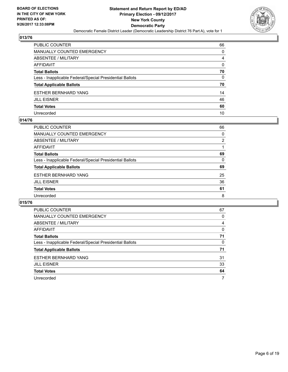

| PUBLIC COUNTER                                           | 66 |
|----------------------------------------------------------|----|
| MANUALLY COUNTED EMERGENCY                               | 0  |
| ABSENTEE / MILITARY                                      | 4  |
| AFFIDAVIT                                                | 0  |
| Total Ballots                                            | 70 |
| Less - Inapplicable Federal/Special Presidential Ballots | 0  |
| <b>Total Applicable Ballots</b>                          | 70 |
| ESTHER BERNHARD YANG                                     | 14 |
| JILL EISNER                                              | 46 |
| <b>Total Votes</b>                                       | 60 |
| Unrecorded                                               | 10 |

#### **014/76**

| <b>PUBLIC COUNTER</b>                                    | 66 |
|----------------------------------------------------------|----|
| <b>MANUALLY COUNTED EMERGENCY</b>                        | 0  |
| ABSENTEE / MILITARY                                      | 2  |
| AFFIDAVIT                                                |    |
| <b>Total Ballots</b>                                     | 69 |
| Less - Inapplicable Federal/Special Presidential Ballots | 0  |
| <b>Total Applicable Ballots</b>                          | 69 |
| <b>ESTHER BERNHARD YANG</b>                              | 25 |
| <b>JILL EISNER</b>                                       | 36 |
| <b>Total Votes</b>                                       | 61 |
| Unrecorded                                               | 8  |

| <b>PUBLIC COUNTER</b>                                    | 67 |
|----------------------------------------------------------|----|
| <b>MANUALLY COUNTED EMERGENCY</b>                        | 0  |
| ABSENTEE / MILITARY                                      | 4  |
| <b>AFFIDAVIT</b>                                         | 0  |
| <b>Total Ballots</b>                                     | 71 |
| Less - Inapplicable Federal/Special Presidential Ballots | 0  |
| <b>Total Applicable Ballots</b>                          | 71 |
| <b>ESTHER BERNHARD YANG</b>                              | 31 |
| <b>JILL EISNER</b>                                       | 33 |
| <b>Total Votes</b>                                       | 64 |
| Unrecorded                                               |    |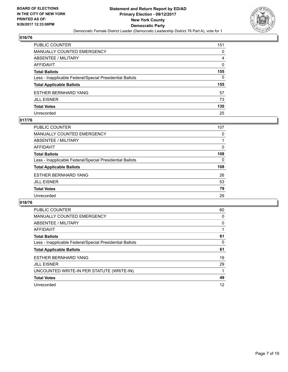

| PUBLIC COUNTER                                           | 151 |
|----------------------------------------------------------|-----|
| <b>MANUALLY COUNTED EMERGENCY</b>                        | 0   |
| ABSENTEE / MILITARY                                      | 4   |
| AFFIDAVIT                                                | 0   |
| <b>Total Ballots</b>                                     | 155 |
| Less - Inapplicable Federal/Special Presidential Ballots | 0   |
| <b>Total Applicable Ballots</b>                          | 155 |
| ESTHER BERNHARD YANG                                     | 57  |
| <b>JILL EISNER</b>                                       | 73  |
| <b>Total Votes</b>                                       | 130 |
| Unrecorded                                               | 25  |

#### **017/76**

| <b>PUBLIC COUNTER</b>                                    | 107 |
|----------------------------------------------------------|-----|
| MANUALLY COUNTED EMERGENCY                               | 0   |
| ABSENTEE / MILITARY                                      |     |
| AFFIDAVIT                                                | 0   |
| <b>Total Ballots</b>                                     | 108 |
| Less - Inapplicable Federal/Special Presidential Ballots | 0   |
| <b>Total Applicable Ballots</b>                          | 108 |
| <b>ESTHER BERNHARD YANG</b>                              | 26  |
| <b>JILL EISNER</b>                                       | 53  |
| <b>Total Votes</b>                                       | 79  |
| Unrecorded                                               | 29  |

| <b>PUBLIC COUNTER</b>                                    | 60 |
|----------------------------------------------------------|----|
| <b>MANUALLY COUNTED EMERGENCY</b>                        | 0  |
| ABSENTEE / MILITARY                                      | 0  |
| AFFIDAVIT                                                |    |
| <b>Total Ballots</b>                                     | 61 |
| Less - Inapplicable Federal/Special Presidential Ballots | 0  |
| <b>Total Applicable Ballots</b>                          | 61 |
| <b>ESTHER BERNHARD YANG</b>                              | 19 |
| <b>JILL EISNER</b>                                       | 29 |
| UNCOUNTED WRITE-IN PER STATUTE (WRITE-IN)                |    |
| <b>Total Votes</b>                                       | 49 |
| Unrecorded                                               | 12 |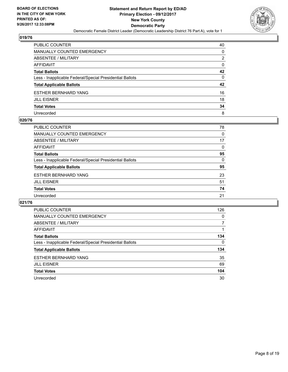

| PUBLIC COUNTER                                           | 40 |
|----------------------------------------------------------|----|
| MANUALLY COUNTED EMERGENCY                               | 0  |
| ABSENTEE / MILITARY                                      | 2  |
| AFFIDAVIT                                                | 0  |
| Total Ballots                                            | 42 |
| Less - Inapplicable Federal/Special Presidential Ballots | 0  |
| <b>Total Applicable Ballots</b>                          | 42 |
| ESTHER BERNHARD YANG                                     | 16 |
| JILL EISNER                                              | 18 |
| <b>Total Votes</b>                                       | 34 |
| Unrecorded                                               | 8  |

#### **020/76**

| <b>PUBLIC COUNTER</b>                                    | 78 |
|----------------------------------------------------------|----|
| <b>MANUALLY COUNTED EMERGENCY</b>                        | 0  |
| ABSENTEE / MILITARY                                      | 17 |
| AFFIDAVIT                                                | 0  |
| <b>Total Ballots</b>                                     | 95 |
| Less - Inapplicable Federal/Special Presidential Ballots | 0  |
| <b>Total Applicable Ballots</b>                          | 95 |
| <b>ESTHER BERNHARD YANG</b>                              | 23 |
| <b>JILL EISNER</b>                                       | 51 |
| <b>Total Votes</b>                                       | 74 |
| Unrecorded                                               | 21 |
|                                                          |    |

| <b>PUBLIC COUNTER</b>                                    | 126 |
|----------------------------------------------------------|-----|
| <b>MANUALLY COUNTED EMERGENCY</b>                        | 0   |
| ABSENTEE / MILITARY                                      |     |
| AFFIDAVIT                                                |     |
| <b>Total Ballots</b>                                     | 134 |
| Less - Inapplicable Federal/Special Presidential Ballots | 0   |
| <b>Total Applicable Ballots</b>                          | 134 |
| <b>ESTHER BERNHARD YANG</b>                              | 35  |
| <b>JILL EISNER</b>                                       | 69  |
| <b>Total Votes</b>                                       | 104 |
| Unrecorded                                               | 30  |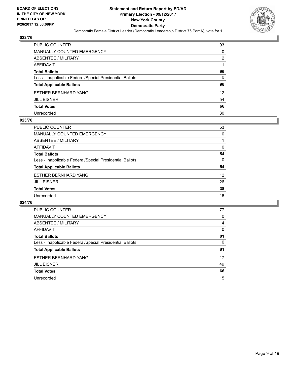

| PUBLIC COUNTER                                           | 93              |
|----------------------------------------------------------|-----------------|
| MANUALLY COUNTED EMERGENCY                               | 0               |
| ABSENTEE / MILITARY                                      | 2               |
| AFFIDAVIT                                                |                 |
| Total Ballots                                            | 96              |
| Less - Inapplicable Federal/Special Presidential Ballots | $\mathbf{0}$    |
| <b>Total Applicable Ballots</b>                          | 96              |
| ESTHER BERNHARD YANG                                     | 12 <sup>2</sup> |
| JILL EISNER                                              | 54              |
| <b>Total Votes</b>                                       | 66              |
| Unrecorded                                               | 30              |

#### **023/76**

| <b>PUBLIC COUNTER</b>                                    | 53       |
|----------------------------------------------------------|----------|
| <b>MANUALLY COUNTED EMERGENCY</b>                        | 0        |
| ABSENTEE / MILITARY                                      |          |
| AFFIDAVIT                                                | 0        |
| <b>Total Ballots</b>                                     | 54       |
| Less - Inapplicable Federal/Special Presidential Ballots | $\Omega$ |
| <b>Total Applicable Ballots</b>                          | 54       |
| <b>ESTHER BERNHARD YANG</b>                              | 12       |
| <b>JILL EISNER</b>                                       | 26       |
| <b>Total Votes</b>                                       | 38       |
| Unrecorded                                               | 16       |

| <b>PUBLIC COUNTER</b>                                    | 77 |
|----------------------------------------------------------|----|
| <b>MANUALLY COUNTED EMERGENCY</b>                        | 0  |
| ABSENTEE / MILITARY                                      | 4  |
| <b>AFFIDAVIT</b>                                         | 0  |
| <b>Total Ballots</b>                                     | 81 |
| Less - Inapplicable Federal/Special Presidential Ballots | 0  |
| <b>Total Applicable Ballots</b>                          | 81 |
| <b>ESTHER BERNHARD YANG</b>                              | 17 |
| <b>JILL EISNER</b>                                       | 49 |
| <b>Total Votes</b>                                       | 66 |
| Unrecorded                                               | 15 |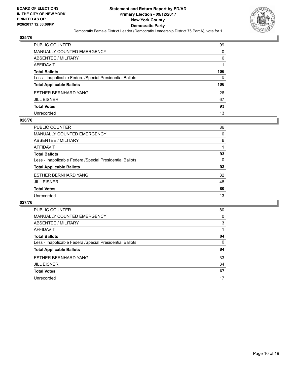

| PUBLIC COUNTER                                           | 99           |
|----------------------------------------------------------|--------------|
| <b>MANUALLY COUNTED EMERGENCY</b>                        | 0            |
| <b>ABSENTEE / MILITARY</b>                               | 6            |
| AFFIDAVIT                                                |              |
| <b>Total Ballots</b>                                     | 106          |
| Less - Inapplicable Federal/Special Presidential Ballots | $\mathbf{0}$ |
| <b>Total Applicable Ballots</b>                          | 106          |
| ESTHER BERNHARD YANG                                     | 26           |
| <b>JILL EISNER</b>                                       | 67           |
| <b>Total Votes</b>                                       | 93           |
| Unrecorded                                               | 13           |

#### **026/76**

| PUBLIC COUNTER                                           | 86 |
|----------------------------------------------------------|----|
| <b>MANUALLY COUNTED EMERGENCY</b>                        | 0  |
| ABSENTEE / MILITARY                                      | 6  |
| AFFIDAVIT                                                |    |
| <b>Total Ballots</b>                                     | 93 |
| Less - Inapplicable Federal/Special Presidential Ballots | 0  |
| <b>Total Applicable Ballots</b>                          | 93 |
| <b>ESTHER BERNHARD YANG</b>                              | 32 |
| <b>JILL EISNER</b>                                       | 48 |
| <b>Total Votes</b>                                       | 80 |
| Unrecorded                                               | 13 |

| <b>PUBLIC COUNTER</b>                                    | 80 |
|----------------------------------------------------------|----|
| <b>MANUALLY COUNTED EMERGENCY</b>                        | 0  |
| <b>ABSENTEE / MILITARY</b>                               | 3  |
| <b>AFFIDAVIT</b>                                         |    |
| <b>Total Ballots</b>                                     | 84 |
| Less - Inapplicable Federal/Special Presidential Ballots | 0  |
| <b>Total Applicable Ballots</b>                          | 84 |
| <b>ESTHER BERNHARD YANG</b>                              | 33 |
| <b>JILL EISNER</b>                                       | 34 |
| <b>Total Votes</b>                                       | 67 |
| Unrecorded                                               | 17 |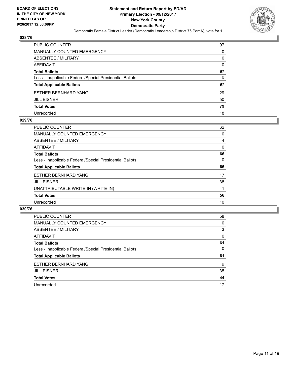

| PUBLIC COUNTER                                           | 97 |
|----------------------------------------------------------|----|
| MANUALLY COUNTED EMERGENCY                               | 0  |
| ABSENTEE / MILITARY                                      | 0  |
| AFFIDAVIT                                                | 0  |
| Total Ballots                                            | 97 |
| Less - Inapplicable Federal/Special Presidential Ballots | 0  |
| <b>Total Applicable Ballots</b>                          | 97 |
| ESTHER BERNHARD YANG                                     | 29 |
| JILL EISNER                                              | 50 |
| <b>Total Votes</b>                                       | 79 |
| Unrecorded                                               | 18 |

#### **029/76**

| <b>PUBLIC COUNTER</b>                                    | 62 |
|----------------------------------------------------------|----|
| <b>MANUALLY COUNTED EMERGENCY</b>                        | 0  |
| ABSENTEE / MILITARY                                      | 4  |
| AFFIDAVIT                                                | 0  |
| <b>Total Ballots</b>                                     | 66 |
| Less - Inapplicable Federal/Special Presidential Ballots | 0  |
| <b>Total Applicable Ballots</b>                          | 66 |
| <b>ESTHER BERNHARD YANG</b>                              | 17 |
| <b>JILL EISNER</b>                                       | 38 |
| UNATTRIBUTABLE WRITE-IN (WRITE-IN)                       |    |
| <b>Total Votes</b>                                       | 56 |
| Unrecorded                                               | 10 |

| <b>PUBLIC COUNTER</b>                                    | 58 |
|----------------------------------------------------------|----|
| MANUALLY COUNTED EMERGENCY                               | 0  |
| ABSENTEE / MILITARY                                      | 3  |
| AFFIDAVIT                                                | 0  |
| <b>Total Ballots</b>                                     | 61 |
| Less - Inapplicable Federal/Special Presidential Ballots | 0  |
| <b>Total Applicable Ballots</b>                          | 61 |
| <b>ESTHER BERNHARD YANG</b>                              | 9  |
| <b>JILL EISNER</b>                                       | 35 |
| <b>Total Votes</b>                                       | 44 |
| Unrecorded                                               | 17 |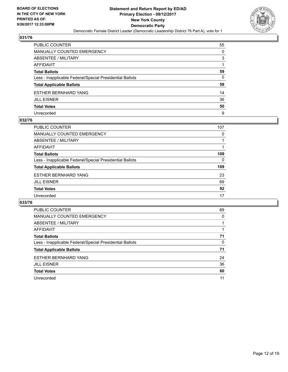

| PUBLIC COUNTER                                           | 55           |
|----------------------------------------------------------|--------------|
| MANUALLY COUNTED EMERGENCY                               | 0            |
| ABSENTEE / MILITARY                                      | 3            |
| AFFIDAVIT                                                |              |
| <b>Total Ballots</b>                                     | 59           |
| Less - Inapplicable Federal/Special Presidential Ballots | $\mathbf{0}$ |
| <b>Total Applicable Ballots</b>                          | 59           |
| ESTHER BERNHARD YANG                                     | 14           |
| JILL EISNER                                              | 36           |
| <b>Total Votes</b>                                       | 50           |
| Unrecorded                                               | 9            |

#### **032/76**

| <b>PUBLIC COUNTER</b>                                    | 107 |
|----------------------------------------------------------|-----|
| <b>MANUALLY COUNTED EMERGENCY</b>                        | 0   |
| ABSENTEE / MILITARY                                      |     |
| AFFIDAVIT                                                |     |
| <b>Total Ballots</b>                                     | 109 |
| Less - Inapplicable Federal/Special Presidential Ballots | 0   |
| <b>Total Applicable Ballots</b>                          | 109 |
| <b>ESTHER BERNHARD YANG</b>                              | 23  |
| <b>JILL EISNER</b>                                       | 69  |
| <b>Total Votes</b>                                       | 92  |
| Unrecorded                                               | 17  |

| <b>PUBLIC COUNTER</b>                                    | 69 |
|----------------------------------------------------------|----|
| <b>MANUALLY COUNTED EMERGENCY</b>                        | 0  |
| ABSENTEE / MILITARY                                      |    |
| <b>AFFIDAVIT</b>                                         |    |
| <b>Total Ballots</b>                                     | 71 |
| Less - Inapplicable Federal/Special Presidential Ballots | 0  |
| <b>Total Applicable Ballots</b>                          | 71 |
| <b>ESTHER BERNHARD YANG</b>                              | 24 |
| <b>JILL EISNER</b>                                       | 36 |
| <b>Total Votes</b>                                       | 60 |
| Unrecorded                                               | 11 |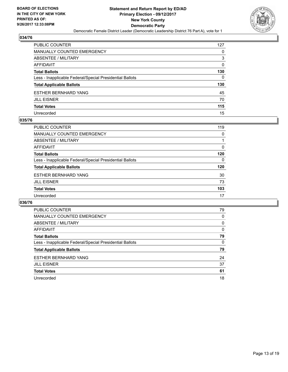

| PUBLIC COUNTER                                           | 127 |
|----------------------------------------------------------|-----|
| <b>MANUALLY COUNTED EMERGENCY</b>                        | 0   |
| ABSENTEE / MILITARY                                      | 3   |
| AFFIDAVIT                                                | 0   |
| <b>Total Ballots</b>                                     | 130 |
| Less - Inapplicable Federal/Special Presidential Ballots | 0   |
| <b>Total Applicable Ballots</b>                          | 130 |
| ESTHER BERNHARD YANG                                     | 45  |
| <b>JILL EISNER</b>                                       | 70  |
| <b>Total Votes</b>                                       | 115 |
| Unrecorded                                               | 15  |

#### **035/76**

| <b>PUBLIC COUNTER</b>                                    | 119 |
|----------------------------------------------------------|-----|
| <b>MANUALLY COUNTED EMERGENCY</b>                        | 0   |
| ABSENTEE / MILITARY                                      |     |
| AFFIDAVIT                                                | 0   |
| <b>Total Ballots</b>                                     | 120 |
| Less - Inapplicable Federal/Special Presidential Ballots | 0   |
| <b>Total Applicable Ballots</b>                          | 120 |
| <b>ESTHER BERNHARD YANG</b>                              | 30  |
| <b>JILL EISNER</b>                                       | 73  |
| <b>Total Votes</b>                                       | 103 |
| Unrecorded                                               | 17  |

| <b>PUBLIC COUNTER</b>                                    | 79 |
|----------------------------------------------------------|----|
| <b>MANUALLY COUNTED EMERGENCY</b>                        | 0  |
| <b>ABSENTEE / MILITARY</b>                               | 0  |
| <b>AFFIDAVIT</b>                                         | 0  |
| <b>Total Ballots</b>                                     | 79 |
| Less - Inapplicable Federal/Special Presidential Ballots | 0  |
| <b>Total Applicable Ballots</b>                          | 79 |
| <b>ESTHER BERNHARD YANG</b>                              | 24 |
| <b>JILL EISNER</b>                                       | 37 |
| <b>Total Votes</b>                                       | 61 |
| Unrecorded                                               | 18 |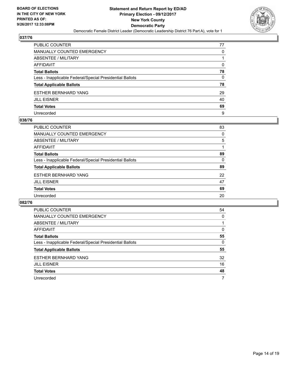

| PUBLIC COUNTER                                           | 77 |
|----------------------------------------------------------|----|
| <b>MANUALLY COUNTED EMERGENCY</b>                        | 0  |
| <b>ABSENTEE / MILITARY</b>                               |    |
| AFFIDAVIT                                                | 0  |
| <b>Total Ballots</b>                                     | 78 |
| Less - Inapplicable Federal/Special Presidential Ballots | 0  |
| <b>Total Applicable Ballots</b>                          | 78 |
| ESTHER BERNHARD YANG                                     | 29 |
| <b>JILL EISNER</b>                                       | 40 |
| <b>Total Votes</b>                                       | 69 |
| Unrecorded                                               | 9  |

#### **038/76**

| PUBLIC COUNTER                                           | 83 |
|----------------------------------------------------------|----|
| <b>MANUALLY COUNTED EMERGENCY</b>                        | 0  |
| ABSENTEE / MILITARY                                      | 5  |
| AFFIDAVIT                                                |    |
| <b>Total Ballots</b>                                     | 89 |
| Less - Inapplicable Federal/Special Presidential Ballots | 0  |
| <b>Total Applicable Ballots</b>                          | 89 |
| <b>ESTHER BERNHARD YANG</b>                              | 22 |
| <b>JILL EISNER</b>                                       | 47 |
| <b>Total Votes</b>                                       | 69 |
| Unrecorded                                               | 20 |

| <b>PUBLIC COUNTER</b>                                    | 54 |
|----------------------------------------------------------|----|
| <b>MANUALLY COUNTED EMERGENCY</b>                        | 0  |
| ABSENTEE / MILITARY                                      |    |
| <b>AFFIDAVIT</b>                                         | 0  |
| <b>Total Ballots</b>                                     | 55 |
| Less - Inapplicable Federal/Special Presidential Ballots | 0  |
| <b>Total Applicable Ballots</b>                          | 55 |
| <b>ESTHER BERNHARD YANG</b>                              | 32 |
| <b>JILL EISNER</b>                                       | 16 |
| <b>Total Votes</b>                                       | 48 |
| Unrecorded                                               | 7  |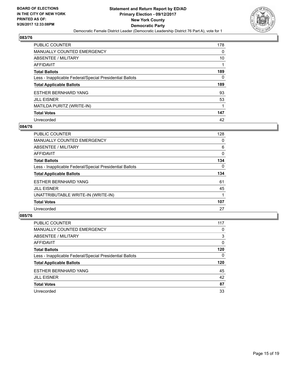

| <b>PUBLIC COUNTER</b>                                    | 178 |
|----------------------------------------------------------|-----|
| <b>MANUALLY COUNTED EMERGENCY</b>                        | 0   |
| ABSENTEE / MILITARY                                      | 10  |
| <b>AFFIDAVIT</b>                                         |     |
| <b>Total Ballots</b>                                     | 189 |
| Less - Inapplicable Federal/Special Presidential Ballots | 0   |
| <b>Total Applicable Ballots</b>                          | 189 |
| <b>ESTHER BERNHARD YANG</b>                              | 93  |
| <b>JILL EISNER</b>                                       | 53  |
| MATILDA PURITZ (WRITE-IN)                                | 1   |
| <b>Total Votes</b>                                       | 147 |
| Unrecorded                                               | 42  |

#### **084/76**

| <b>PUBLIC COUNTER</b>                                    | 128      |
|----------------------------------------------------------|----------|
| <b>MANUALLY COUNTED EMERGENCY</b>                        | 0        |
| ABSENTEE / MILITARY                                      | 6        |
| <b>AFFIDAVIT</b>                                         | $\Omega$ |
| <b>Total Ballots</b>                                     | 134      |
| Less - Inapplicable Federal/Special Presidential Ballots | 0        |
| <b>Total Applicable Ballots</b>                          | 134      |
| <b>ESTHER BERNHARD YANG</b>                              | 61       |
| <b>JILL EISNER</b>                                       | 45       |
| UNATTRIBUTABLE WRITE-IN (WRITE-IN)                       |          |
| <b>Total Votes</b>                                       | 107      |
| Unrecorded                                               | 27       |

| <b>PUBLIC COUNTER</b>                                    | 117 |
|----------------------------------------------------------|-----|
| MANUALLY COUNTED EMERGENCY                               | 0   |
| ABSENTEE / MILITARY                                      | 3   |
| AFFIDAVIT                                                | 0   |
| <b>Total Ballots</b>                                     | 120 |
| Less - Inapplicable Federal/Special Presidential Ballots | 0   |
| <b>Total Applicable Ballots</b>                          | 120 |
| <b>ESTHER BERNHARD YANG</b>                              | 45  |
| <b>JILL EISNER</b>                                       | 42  |
| <b>Total Votes</b>                                       | 87  |
| Unrecorded                                               | 33  |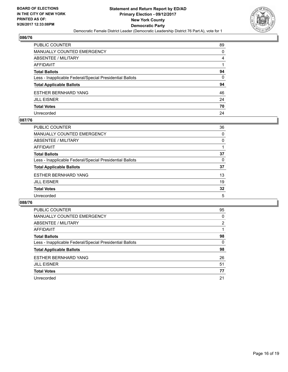

| PUBLIC COUNTER                                           | 89 |
|----------------------------------------------------------|----|
| MANUALLY COUNTED EMERGENCY                               | 0  |
| ABSENTEE / MILITARY                                      | 4  |
| AFFIDAVIT                                                |    |
| Total Ballots                                            | 94 |
| Less - Inapplicable Federal/Special Presidential Ballots | 0  |
| <b>Total Applicable Ballots</b>                          | 94 |
| ESTHER BERNHARD YANG                                     | 46 |
| JILL EISNER                                              | 24 |
| <b>Total Votes</b>                                       | 70 |
| Unrecorded                                               | 24 |

#### **087/76**

| <b>PUBLIC COUNTER</b>                                    | 36 |
|----------------------------------------------------------|----|
| MANUALLY COUNTED EMERGENCY                               | 0  |
| ABSENTEE / MILITARY                                      | 0  |
| AFFIDAVIT                                                |    |
| <b>Total Ballots</b>                                     | 37 |
| Less - Inapplicable Federal/Special Presidential Ballots | 0  |
| <b>Total Applicable Ballots</b>                          | 37 |
| <b>ESTHER BERNHARD YANG</b>                              | 13 |
| <b>JILL EISNER</b>                                       | 19 |
| <b>Total Votes</b>                                       | 32 |
| Unrecorded                                               | 5  |

| <b>PUBLIC COUNTER</b>                                    | 95             |
|----------------------------------------------------------|----------------|
| MANUALLY COUNTED EMERGENCY                               | 0              |
| ABSENTEE / MILITARY                                      | $\overline{2}$ |
| AFFIDAVIT                                                |                |
| <b>Total Ballots</b>                                     | 98             |
| Less - Inapplicable Federal/Special Presidential Ballots | 0              |
| <b>Total Applicable Ballots</b>                          | 98             |
| <b>ESTHER BERNHARD YANG</b>                              | 26             |
| <b>JILL EISNER</b>                                       | 51             |
| <b>Total Votes</b>                                       | 77             |
| Unrecorded                                               | 21             |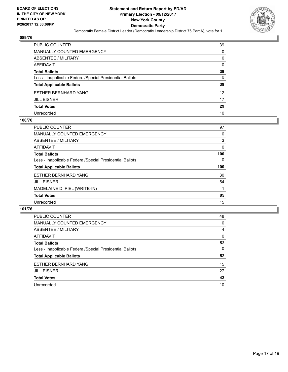

| PUBLIC COUNTER                                           | 39 |
|----------------------------------------------------------|----|
| <b>MANUALLY COUNTED EMERGENCY</b>                        | 0  |
| <b>ABSENTEE / MILITARY</b>                               | 0  |
| AFFIDAVIT                                                | 0  |
| <b>Total Ballots</b>                                     | 39 |
| Less - Inapplicable Federal/Special Presidential Ballots | 0  |
| <b>Total Applicable Ballots</b>                          | 39 |
| ESTHER BERNHARD YANG                                     | 12 |
| <b>JILL EISNER</b>                                       | 17 |
| <b>Total Votes</b>                                       | 29 |
| Unrecorded                                               | 10 |

#### **100/76**

| <b>PUBLIC COUNTER</b>                                    | 97  |
|----------------------------------------------------------|-----|
| MANUALLY COUNTED EMERGENCY                               | 0   |
| ABSENTEE / MILITARY                                      | 3   |
| <b>AFFIDAVIT</b>                                         | 0   |
| <b>Total Ballots</b>                                     | 100 |
| Less - Inapplicable Federal/Special Presidential Ballots | 0   |
| <b>Total Applicable Ballots</b>                          | 100 |
| <b>ESTHER BERNHARD YANG</b>                              | 30  |
| <b>JILL EISNER</b>                                       | 54  |
| MADELAINE D. PIEL (WRITE-IN)                             |     |
| <b>Total Votes</b>                                       | 85  |
| Unrecorded                                               | 15  |

| <b>PUBLIC COUNTER</b>                                    | 48 |
|----------------------------------------------------------|----|
| MANUALLY COUNTED EMERGENCY                               | 0  |
| ABSENTEE / MILITARY                                      | 4  |
| AFFIDAVIT                                                | 0  |
| <b>Total Ballots</b>                                     | 52 |
| Less - Inapplicable Federal/Special Presidential Ballots | 0  |
| <b>Total Applicable Ballots</b>                          | 52 |
| <b>ESTHER BERNHARD YANG</b>                              | 15 |
| <b>JILL EISNER</b>                                       | 27 |
| <b>Total Votes</b>                                       | 42 |
| Unrecorded                                               | 10 |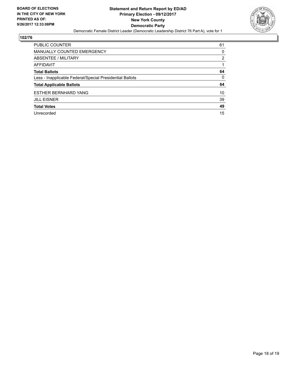

| <b>PUBLIC COUNTER</b>                                    | 61 |
|----------------------------------------------------------|----|
| <b>MANUALLY COUNTED EMERGENCY</b>                        | 0  |
| ABSENTEE / MILITARY                                      | 2  |
| AFFIDAVIT                                                |    |
| <b>Total Ballots</b>                                     | 64 |
| Less - Inapplicable Federal/Special Presidential Ballots | 0  |
| <b>Total Applicable Ballots</b>                          | 64 |
| <b>ESTHER BERNHARD YANG</b>                              | 10 |
| <b>JILL EISNER</b>                                       | 39 |
| <b>Total Votes</b>                                       | 49 |
| Unrecorded                                               | 15 |